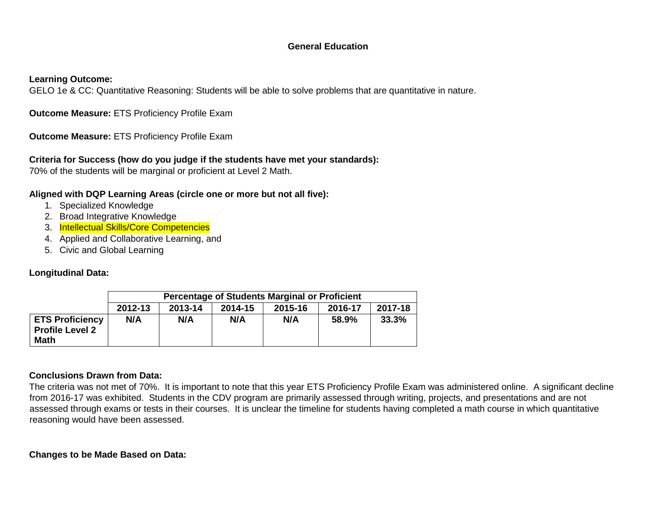## **General Education**

#### **Learning Outcome:**

GELO 1e & CC: Quantitative Reasoning: Students will be able to solve problems that are quantitative in nature.

**Outcome Measure:** ETS Proficiency Profile Exam

**Outcome Measure:** ETS Proficiency Profile Exam

## **Criteria for Success (how do you judge if the students have met your standards):**

70% of the students will be marginal or proficient at Level 2 Math.

### **Aligned with DQP Learning Areas (circle one or more but not all five):**

- 1. Specialized Knowledge
- 2. Broad Integrative Knowledge
- 3. Intellectual Skills/Core Competencies
- 4. Applied and Collaborative Learning, and
- 5. Civic and Global Learning

## **Longitudinal Data:**

|                                                                 | Percentage of Students Marginal or Proficient |         |         |         |         |         |
|-----------------------------------------------------------------|-----------------------------------------------|---------|---------|---------|---------|---------|
|                                                                 | 2012-13                                       | 2013-14 | 2014-15 | 2015-16 | 2016-17 | 2017-18 |
| <b>ETS Proficiency</b><br><b>Profile Level 2</b><br><b>Math</b> | N/A                                           | N/A     | N/A     | N/A     | 58.9%   | 33.3%   |

## **Conclusions Drawn from Data:**

The criteria was not met of 70%. It is important to note that this year ETS Proficiency Profile Exam was administered online. A significant decline from 2016-17 was exhibited. Students in the CDV program are primarily assessed through writing, projects, and presentations and are not assessed through exams or tests in their courses. It is unclear the timeline for students having completed a math course in which quantitative reasoning would have been assessed.

**Changes to be Made Based on Data:**